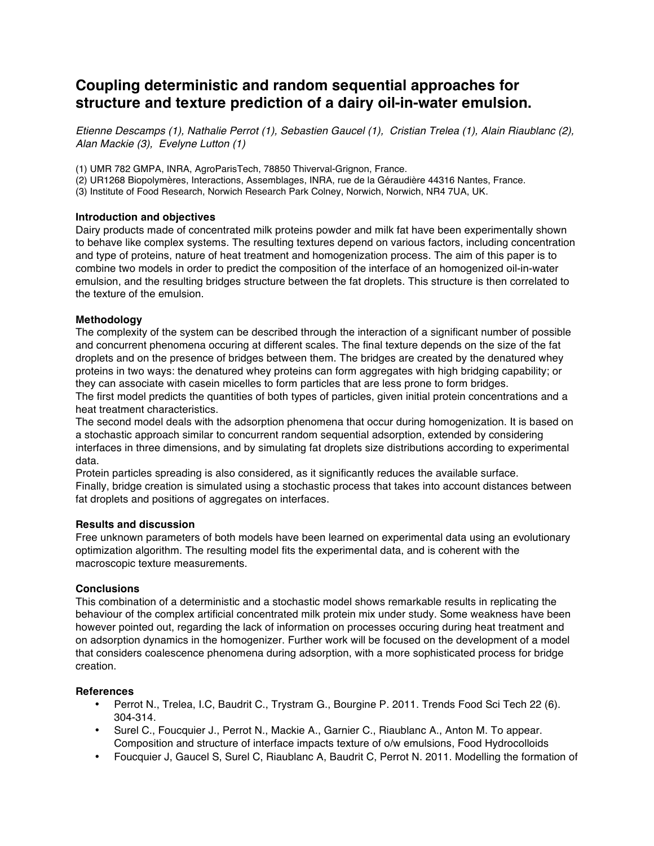# **Coupling deterministic and random sequential approaches for structure and texture prediction of a dairy oil-in-water emulsion.**

*Etienne Descamps (1), Nathalie Perrot (1), Sebastien Gaucel (1), Cristian Trelea (1), Alain Riaublanc (2), Alan Mackie (3), Evelyne Lutton (1)*

(1) UMR 782 GMPA, INRA, AgroParisTech, 78850 Thiverval-Grignon, France.

(2) UR1268 Biopolymères, Interactions, Assemblages, INRA, rue de la Géraudière 44316 Nantes, France.

(3) Institute of Food Research, Norwich Research Park Colney, Norwich, Norwich, NR4 7UA, UK.

## **Introduction and objectives**

Dairy products made of concentrated milk proteins powder and milk fat have been experimentally shown to behave like complex systems. The resulting textures depend on various factors, including concentration and type of proteins, nature of heat treatment and homogenization process. The aim of this paper is to combine two models in order to predict the composition of the interface of an homogenized oil-in-water emulsion, and the resulting bridges structure between the fat droplets. This structure is then correlated to the texture of the emulsion.

## **Methodology**

The complexity of the system can be described through the interaction of a significant number of possible and concurrent phenomena occuring at different scales. The final texture depends on the size of the fat droplets and on the presence of bridges between them. The bridges are created by the denatured whey proteins in two ways: the denatured whey proteins can form aggregates with high bridging capability; or they can associate with casein micelles to form particles that are less prone to form bridges.

The first model predicts the quantities of both types of particles, given initial protein concentrations and a heat treatment characteristics.

The second model deals with the adsorption phenomena that occur during homogenization. It is based on a stochastic approach similar to concurrent random sequential adsorption, extended by considering interfaces in three dimensions, and by simulating fat droplets size distributions according to experimental data.

Protein particles spreading is also considered, as it significantly reduces the available surface. Finally, bridge creation is simulated using a stochastic process that takes into account distances between fat droplets and positions of aggregates on interfaces.

#### **Results and discussion**

Free unknown parameters of both models have been learned on experimental data using an evolutionary optimization algorithm. The resulting model fits the experimental data, and is coherent with the macroscopic texture measurements.

# **Conclusions**

This combination of a deterministic and a stochastic model shows remarkable results in replicating the behaviour of the complex artificial concentrated milk protein mix under study. Some weakness have been however pointed out, regarding the lack of information on processes occuring during heat treatment and on adsorption dynamics in the homogenizer. Further work will be focused on the development of a model that considers coalescence phenomena during adsorption, with a more sophisticated process for bridge creation.

#### **References**

- Perrot N., Trelea, I.C, Baudrit C., Trystram G., Bourgine P. 2011. Trends Food Sci Tech 22 (6). 304-314.
- Surel C., Foucquier J., Perrot N., Mackie A., Garnier C., Riaublanc A., Anton M. To appear. Composition and structure of interface impacts texture of o/w emulsions, Food Hydrocolloids
- Foucquier J, Gaucel S, Surel C, Riaublanc A, Baudrit C, Perrot N. 2011. Modelling the formation of